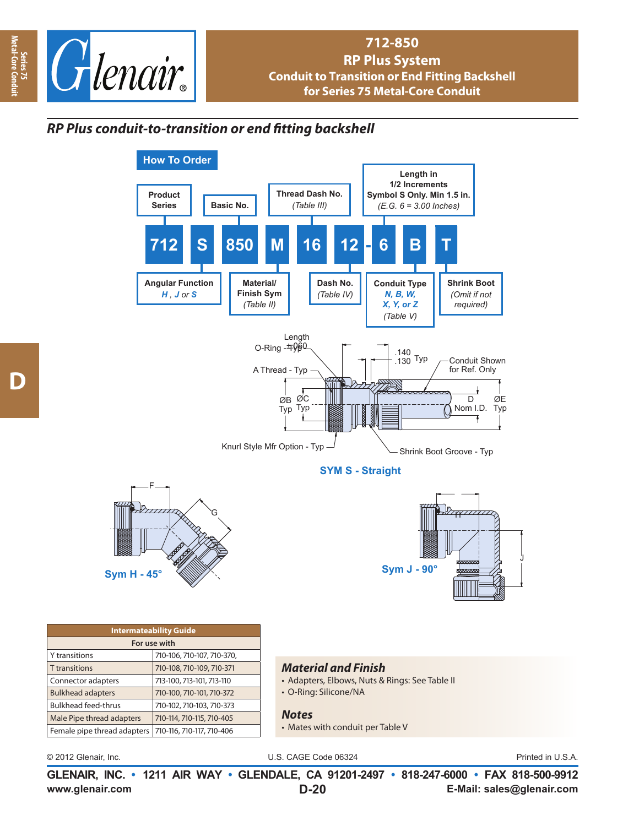

## **712-850 RP Plus System Conduit to Transition or End Fitting Backshell for Series 75 Metal-Core Conduit**

## *RP Plus conduit-to-transition or end fi tting backshell*



• Mates with conduit per Table V

Female pipe thread adapters  $|710-116$ , 710-117, 710-406

© 2012 Glenair, Inc. U.S. CAGE Code 06324 Printed in U.S.A.

J

**www.glenair.com E-Mail: sales@glenair.com GLENAIR, INC. • 1211 AIR WAY • GLENDALE, CA 91201-2497 • 818-247-6000 • FAX 818-500-9912 D-20**

**Metal-Core Conduit**